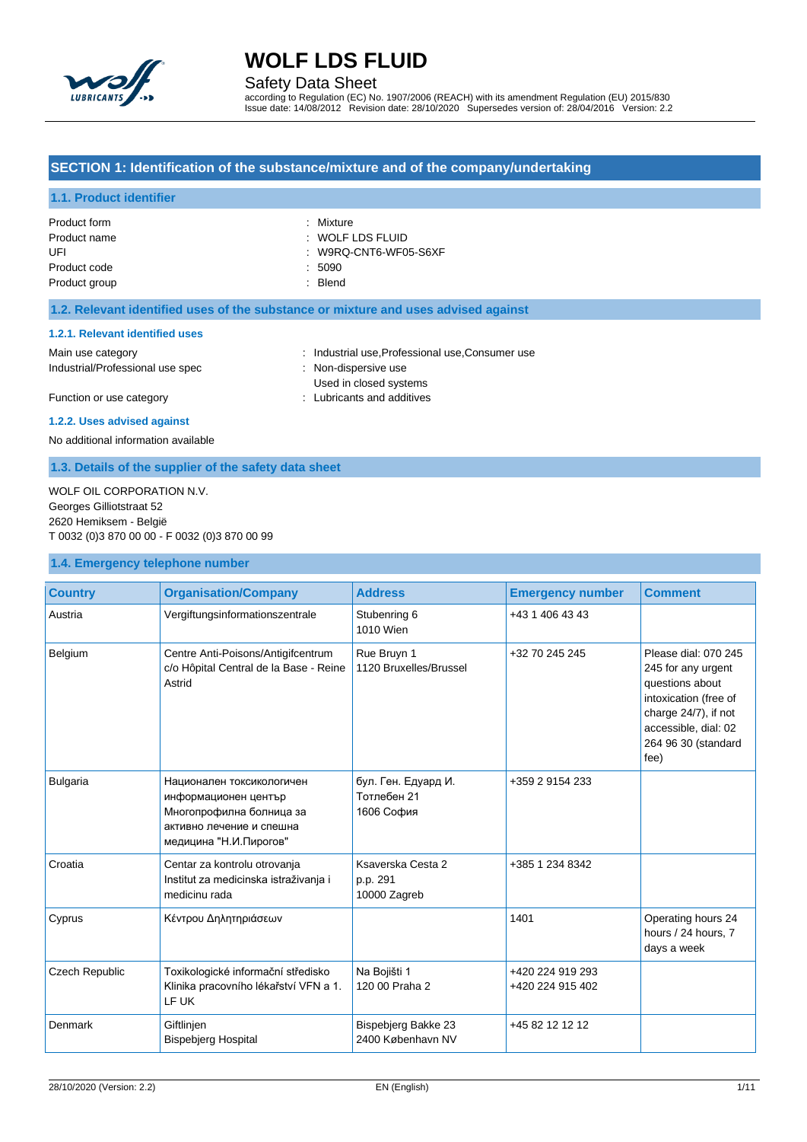

Safety Data Sheet

according to Regulation (EC) No. 1907/2006 (REACH) with its amendment Regulation (EU) 2015/830 Issue date: 14/08/2012 Revision date: 28/10/2020 Supersedes version of: 28/04/2016 Version: 2.2

### **SECTION 1: Identification of the substance/mixture and of the company/undertaking**

### **1.1. Product identifier**

| Product form  | : Mixture             |
|---------------|-----------------------|
| Product name  | : WOLF LDS FLUID      |
| UFI           | : W9RQ-CNT6-WF05-S6XF |
| Product code  | .5090                 |
| Product group | : Blend               |
|               |                       |

### **1.2. Relevant identified uses of the substance or mixture and uses advised against**

#### **1.2.1. Relevant identified uses**

| Main use category                | : Industrial use, Professional use, Consumer use |
|----------------------------------|--------------------------------------------------|
| Industrial/Professional use spec | : Non-dispersive use                             |
|                                  | Used in closed systems                           |
| Function or use category         | Lubricants and additives                         |

**1.2.2. Uses advised against**

No additional information available

### **1.3. Details of the supplier of the safety data sheet**

WOLF OIL CORPORATION N.V. Georges Gilliotstraat 52 2620 Hemiksem - België T 0032 (0)3 870 00 00 - F 0032 (0)3 870 00 99

### **1.4. Emergency telephone number**

| <b>Country</b>  | <b>Organisation/Company</b>                                                                                                          | <b>Address</b>                                   | <b>Emergency number</b>              | <b>Comment</b>                                                                                                                                                        |
|-----------------|--------------------------------------------------------------------------------------------------------------------------------------|--------------------------------------------------|--------------------------------------|-----------------------------------------------------------------------------------------------------------------------------------------------------------------------|
| Austria         | Vergiftungsinformationszentrale                                                                                                      | Stubenring 6<br>1010 Wien                        | +43 1 406 43 43                      |                                                                                                                                                                       |
| Belgium         | Centre Anti-Poisons/Antigifcentrum<br>c/o Hôpital Central de la Base - Reine<br>Astrid                                               | Rue Bruyn 1<br>1120 Bruxelles/Brussel            | +32 70 245 245                       | Please dial: 070 245<br>245 for any urgent<br>questions about<br>intoxication (free of<br>charge 24/7), if not<br>accessible, dial: 02<br>264 96 30 (standard<br>fee) |
| <b>Bulgaria</b> | Национален токсикологичен<br>информационен център<br>Многопрофилна болница за<br>активно лечение и спешна<br>медицина "Н.И. Пирогов" | бул. Ген. Едуард И.<br>Тотлебен 21<br>1606 София | +359 2 9154 233                      |                                                                                                                                                                       |
| Croatia         | Centar za kontrolu otrovanja<br>Institut za medicinska istraživanja i<br>medicinu rada                                               | Ksaverska Cesta 2<br>p.p. 291<br>10000 Zagreb    | +385 1 234 8342                      |                                                                                                                                                                       |
| Cyprus          | Κέντρου Δηλητηριάσεων                                                                                                                |                                                  | 1401                                 | Operating hours 24<br>hours / 24 hours, 7<br>days a week                                                                                                              |
| Czech Republic  | Toxikologické informační středisko<br>Klinika pracovního lékařství VFN a 1.<br>LF UK                                                 | Na Bojišti 1<br>120 00 Praha 2                   | +420 224 919 293<br>+420 224 915 402 |                                                                                                                                                                       |
| <b>Denmark</b>  | Giftlinjen<br><b>Bispebjerg Hospital</b>                                                                                             | Bispebjerg Bakke 23<br>2400 København NV         | +45 82 12 12 12                      |                                                                                                                                                                       |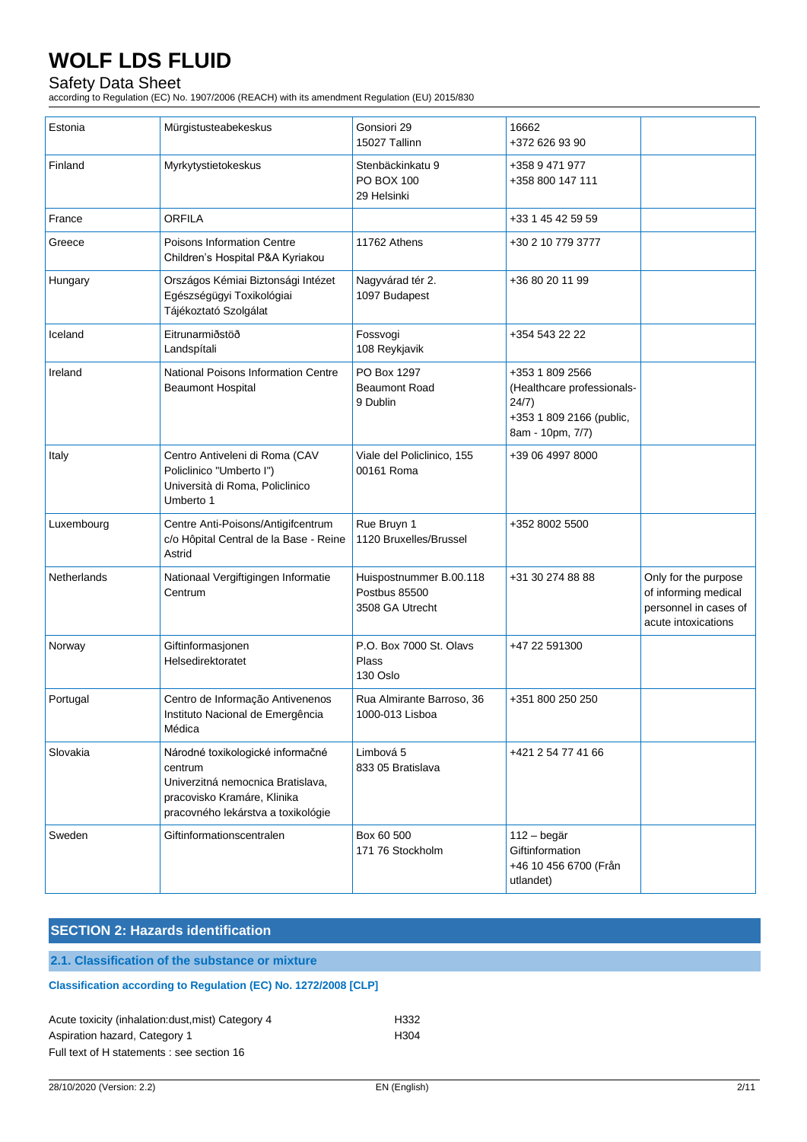## Safety Data Sheet

according to Regulation (EC) No. 1907/2006 (REACH) with its amendment Regulation (EU) 2015/830

| Estonia     | Mürgistusteabekeskus                                                                                                                                  | Gonsiori 29<br>15027 Tallinn                                | 16662<br>+372 626 93 90                                                                                |                                                                                              |
|-------------|-------------------------------------------------------------------------------------------------------------------------------------------------------|-------------------------------------------------------------|--------------------------------------------------------------------------------------------------------|----------------------------------------------------------------------------------------------|
| Finland     | Myrkytystietokeskus                                                                                                                                   | Stenbäckinkatu 9<br>PO BOX 100<br>29 Helsinki               | +358 9 471 977<br>+358 800 147 111                                                                     |                                                                                              |
| France      | <b>ORFILA</b>                                                                                                                                         |                                                             | +33 1 45 42 59 59                                                                                      |                                                                                              |
| Greece      | <b>Poisons Information Centre</b><br>Children's Hospital P&A Kyriakou                                                                                 | 11762 Athens                                                | +30 2 10 779 3777                                                                                      |                                                                                              |
| Hungary     | Országos Kémiai Biztonsági Intézet<br>Egészségügyi Toxikológiai<br>Tájékoztató Szolgálat                                                              | Nagyvárad tér 2.<br>1097 Budapest                           | +36 80 20 11 99                                                                                        |                                                                                              |
| Iceland     | Eitrunarmiðstöð<br>Landspítali                                                                                                                        | Fossvogi<br>108 Reykjavik                                   | +354 543 22 22                                                                                         |                                                                                              |
| Ireland     | National Poisons Information Centre<br><b>Beaumont Hospital</b>                                                                                       | PO Box 1297<br><b>Beaumont Road</b><br>9 Dublin             | +353 1 809 2566<br>(Healthcare professionals-<br>24/7)<br>+353 1 809 2166 (public,<br>8am - 10pm, 7/7) |                                                                                              |
| Italy       | Centro Antiveleni di Roma (CAV<br>Policlinico "Umberto I")<br>Università di Roma, Policlinico<br>Umberto 1                                            | Viale del Policlinico, 155<br>00161 Roma                    | +39 06 4997 8000                                                                                       |                                                                                              |
| Luxembourg  | Centre Anti-Poisons/Antigifcentrum<br>c/o Hôpital Central de la Base - Reine<br>Astrid                                                                | Rue Bruyn 1<br>1120 Bruxelles/Brussel                       | +352 8002 5500                                                                                         |                                                                                              |
| Netherlands | Nationaal Vergiftigingen Informatie<br>Centrum                                                                                                        | Huispostnummer B.00.118<br>Postbus 85500<br>3508 GA Utrecht | +31 30 274 88 88                                                                                       | Only for the purpose<br>of informing medical<br>personnel in cases of<br>acute intoxications |
| Norway      | Giftinformasjonen<br>Helsedirektoratet                                                                                                                | P.O. Box 7000 St. Olavs<br>Plass<br>130 Oslo                | +47 22 591300                                                                                          |                                                                                              |
| Portugal    | Centro de Informação Antivenenos<br>Instituto Nacional de Emergência<br>Médica                                                                        | Rua Almirante Barroso, 36<br>1000-013 Lisboa                | +351 800 250 250                                                                                       |                                                                                              |
| Slovakia    | Národné toxikologické informačné<br>centrum<br>Univerzitná nemocnica Bratislava,<br>pracovisko Kramáre, Klinika<br>pracovného lekárstva a toxikológie | Limbová 5<br>833 05 Bratislava                              | +421 2 54 77 41 66                                                                                     |                                                                                              |
| Sweden      | Giftinformationscentralen                                                                                                                             | Box 60 500<br>171 76 Stockholm                              | 112 - begär<br>Giftinformation<br>+46 10 456 6700 (Från<br>utlandet)                                   |                                                                                              |

## **SECTION 2: Hazards identification**

**2.1. Classification of the substance or mixture**

## **Classification according to Regulation (EC) No. 1272/2008 [CLP]**

| Acute toxicity (inhalation: dust, mist) Category 4 | H332 |
|----------------------------------------------------|------|
| Aspiration hazard, Category 1                      | H304 |
| Full text of H statements : see section 16         |      |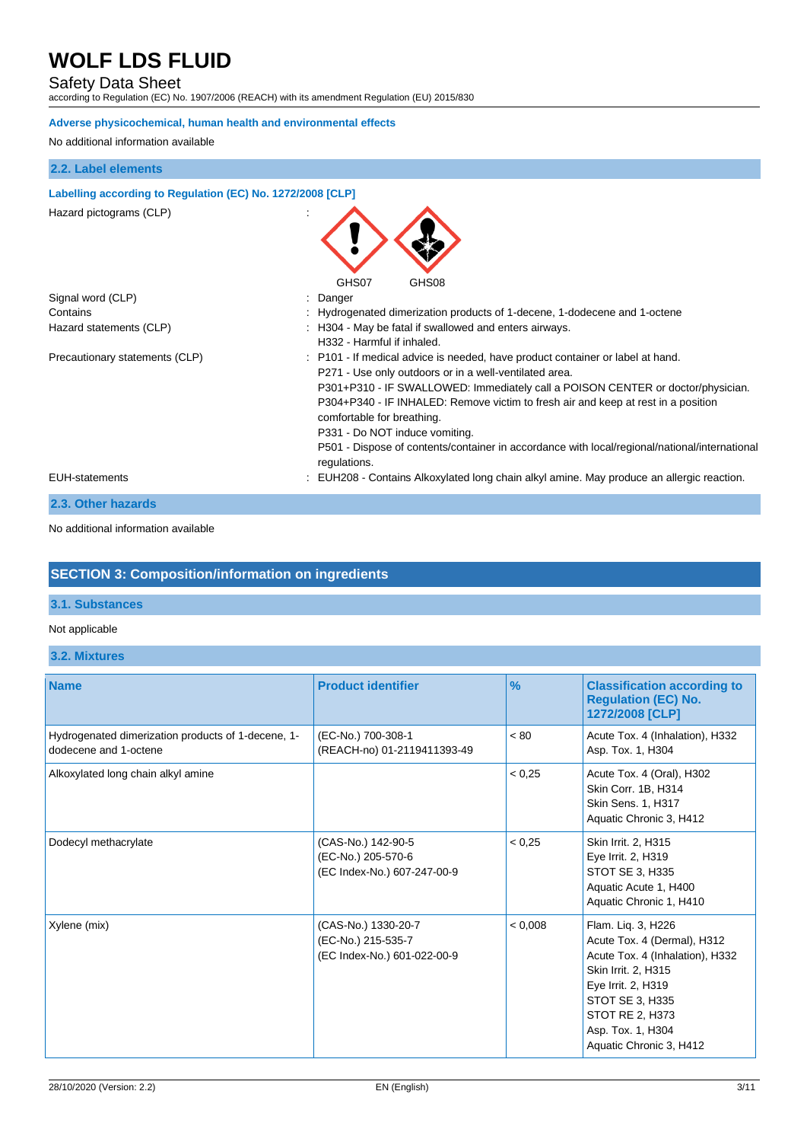## Safety Data Sheet

according to Regulation (EC) No. 1907/2006 (REACH) with its amendment Regulation (EU) 2015/830

#### **Adverse physicochemical, human health and environmental effects**

No additional information available

### **2.2. Label elements**

#### **Labelling according to Regulation (EC) No. 1272/2008 [CLP]**

Hazard pictograms (CLP) in the set of the set of the set of the set of the set of the set of the set of the set of the set of the set of the set of the set of the set of the set of the set of the set of the set of the set

|                                | GHS07<br>GHS08                                                                                                                                                                                                                                                                                                                                                                                                                                                                                    |
|--------------------------------|---------------------------------------------------------------------------------------------------------------------------------------------------------------------------------------------------------------------------------------------------------------------------------------------------------------------------------------------------------------------------------------------------------------------------------------------------------------------------------------------------|
| Signal word (CLP)              | : Danger                                                                                                                                                                                                                                                                                                                                                                                                                                                                                          |
| Contains                       | : Hydrogenated dimerization products of 1-decene, 1-dodecene and 1-octene                                                                                                                                                                                                                                                                                                                                                                                                                         |
| Hazard statements (CLP)        | : H304 - May be fatal if swallowed and enters airways.<br>H332 - Harmful if inhaled.                                                                                                                                                                                                                                                                                                                                                                                                              |
| Precautionary statements (CLP) | : P101 - If medical advice is needed, have product container or label at hand.<br>P271 - Use only outdoors or in a well-ventilated area.<br>P301+P310 - IF SWALLOWED: Immediately call a POISON CENTER or doctor/physician.<br>P304+P340 - IF INHALED: Remove victim to fresh air and keep at rest in a position<br>comfortable for breathing.<br>P331 - Do NOT induce vomiting.<br>P501 - Dispose of contents/container in accordance with local/regional/national/international<br>regulations. |
| <b>EUH-statements</b>          | : EUH208 - Contains Alkoxylated long chain alkyl amine. May produce an allergic reaction.                                                                                                                                                                                                                                                                                                                                                                                                         |
| .                              |                                                                                                                                                                                                                                                                                                                                                                                                                                                                                                   |

 $\bigwedge$ 

#### **2.3. Other hazards**

#### No additional information available

## **SECTION 3: Composition/information on ingredients**

### **3.1. Substances**

#### Not applicable

**3.2. Mixtures**

| <b>Name</b>                                                                 | <b>Product identifier</b>                                                | $\frac{9}{6}$ | <b>Classification according to</b><br><b>Regulation (EC) No.</b><br>1272/2008 [CLP]                                                                                                                                     |
|-----------------------------------------------------------------------------|--------------------------------------------------------------------------|---------------|-------------------------------------------------------------------------------------------------------------------------------------------------------------------------------------------------------------------------|
| Hydrogenated dimerization products of 1-decene, 1-<br>dodecene and 1-octene | (EC-No.) 700-308-1<br>(REACH-no) 01-2119411393-49                        | < 80          | Acute Tox. 4 (Inhalation), H332<br>Asp. Tox. 1, H304                                                                                                                                                                    |
| Alkoxylated long chain alkyl amine                                          |                                                                          | < 0.25        | Acute Tox. 4 (Oral), H302<br>Skin Corr. 1B, H314<br>Skin Sens. 1, H317<br>Aquatic Chronic 3, H412                                                                                                                       |
| Dodecyl methacrylate                                                        | (CAS-No.) 142-90-5<br>(EC-No.) 205-570-6<br>(EC Index-No.) 607-247-00-9  | < 0.25        | Skin Irrit. 2, H315<br>Eye Irrit. 2, H319<br>STOT SE 3, H335<br>Aquatic Acute 1, H400<br>Aquatic Chronic 1, H410                                                                                                        |
| Xylene (mix)                                                                | (CAS-No.) 1330-20-7<br>(EC-No.) 215-535-7<br>(EC Index-No.) 601-022-00-9 | < 0.008       | Flam. Liq. 3, H226<br>Acute Tox. 4 (Dermal), H312<br>Acute Tox. 4 (Inhalation), H332<br>Skin Irrit. 2, H315<br>Eye Irrit. 2, H319<br>STOT SE 3, H335<br>STOT RE 2, H373<br>Asp. Tox. 1, H304<br>Aquatic Chronic 3, H412 |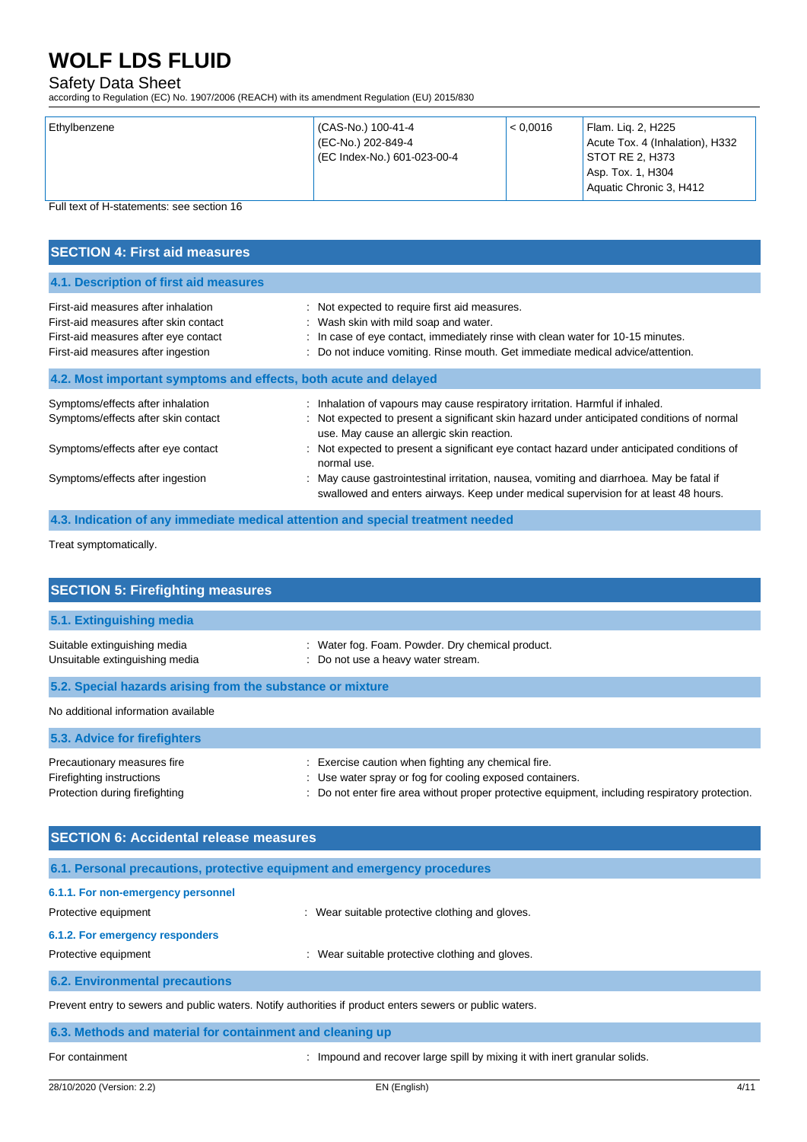## Safety Data Sheet

according to Regulation (EC) No. 1907/2006 (REACH) with its amendment Regulation (EU) 2015/830

| Ethylbenzene | (CAS-No.) 100-41-4<br>(EC-No.) 202-849-4<br>(EC Index-No.) 601-023-00-4 | < 0.0016 | Flam. Liq. 2, H225<br>Acute Tox. 4 (Inhalation), H332<br>STOT RE 2, H373<br>Asp. Tox. 1, H304<br>Aquatic Chronic 3, H412 |
|--------------|-------------------------------------------------------------------------|----------|--------------------------------------------------------------------------------------------------------------------------|
|              |                                                                         |          |                                                                                                                          |

Full text of H-statements: see section 16

| <b>SECTION 4: First aid measures</b>                                                                                                                       |                                                                                                                                                                                                                                                                                                                                                                                                                                                                                                                        |
|------------------------------------------------------------------------------------------------------------------------------------------------------------|------------------------------------------------------------------------------------------------------------------------------------------------------------------------------------------------------------------------------------------------------------------------------------------------------------------------------------------------------------------------------------------------------------------------------------------------------------------------------------------------------------------------|
| 4.1. Description of first aid measures                                                                                                                     |                                                                                                                                                                                                                                                                                                                                                                                                                                                                                                                        |
| First-aid measures after inhalation<br>First-aid measures after skin contact<br>First-aid measures after eye contact<br>First-aid measures after ingestion | : Not expected to require first aid measures.<br>: Wash skin with mild soap and water.<br>In case of eye contact, immediately rinse with clean water for 10-15 minutes.<br>Do not induce vomiting. Rinse mouth. Get immediate medical advice/attention.                                                                                                                                                                                                                                                                |
| 4.2. Most important symptoms and effects, both acute and delayed                                                                                           |                                                                                                                                                                                                                                                                                                                                                                                                                                                                                                                        |
| Symptoms/effects after inhalation<br>Symptoms/effects after skin contact<br>Symptoms/effects after eye contact<br>Symptoms/effects after ingestion         | : Inhalation of vapours may cause respiratory irritation. Harmful if inhaled.<br>: Not expected to present a significant skin hazard under anticipated conditions of normal<br>use. May cause an allergic skin reaction.<br>Not expected to present a significant eye contact hazard under anticipated conditions of<br>normal use.<br>: May cause gastrointestinal irritation, nausea, vomiting and diarrhoea. May be fatal if<br>swallowed and enters airways. Keep under medical supervision for at least 48 hours. |

**4.3. Indication of any immediate medical attention and special treatment needed**

Treat symptomatically.

| <b>SECTION 5: Firefighting measures</b>                                                    |                                                                                                                                                                                                                  |
|--------------------------------------------------------------------------------------------|------------------------------------------------------------------------------------------------------------------------------------------------------------------------------------------------------------------|
| 5.1. Extinguishing media                                                                   |                                                                                                                                                                                                                  |
|                                                                                            |                                                                                                                                                                                                                  |
| Suitable extinguishing media<br>Unsuitable extinguishing media                             | : Water fog. Foam. Powder. Dry chemical product.<br>: Do not use a heavy water stream.                                                                                                                           |
| 5.2. Special hazards arising from the substance or mixture                                 |                                                                                                                                                                                                                  |
| No additional information available                                                        |                                                                                                                                                                                                                  |
| 5.3. Advice for firefighters                                                               |                                                                                                                                                                                                                  |
| Precautionary measures fire<br>Firefighting instructions<br>Protection during firefighting | Exercise caution when fighting any chemical fire.<br>: Use water spray or fog for cooling exposed containers.<br>: Do not enter fire area without proper protective equipment, including respiratory protection. |

| <b>SECTION 6: Accidental release measures</b>              |                                                                                                          |
|------------------------------------------------------------|----------------------------------------------------------------------------------------------------------|
|                                                            | 6.1. Personal precautions, protective equipment and emergency procedures                                 |
| 6.1.1. For non-emergency personnel<br>Protective equipment | : Wear suitable protective clothing and gloves.                                                          |
| 6.1.2. For emergency responders<br>Protective equipment    | Wear suitable protective clothing and gloves.                                                            |
| <b>6.2. Environmental precautions</b>                      |                                                                                                          |
|                                                            | Prevent entry to sewers and public waters. Notify authorities if product enters sewers or public waters. |

| 6.3. Methods and material for containment and cleaning up |
|-----------------------------------------------------------|
|-----------------------------------------------------------|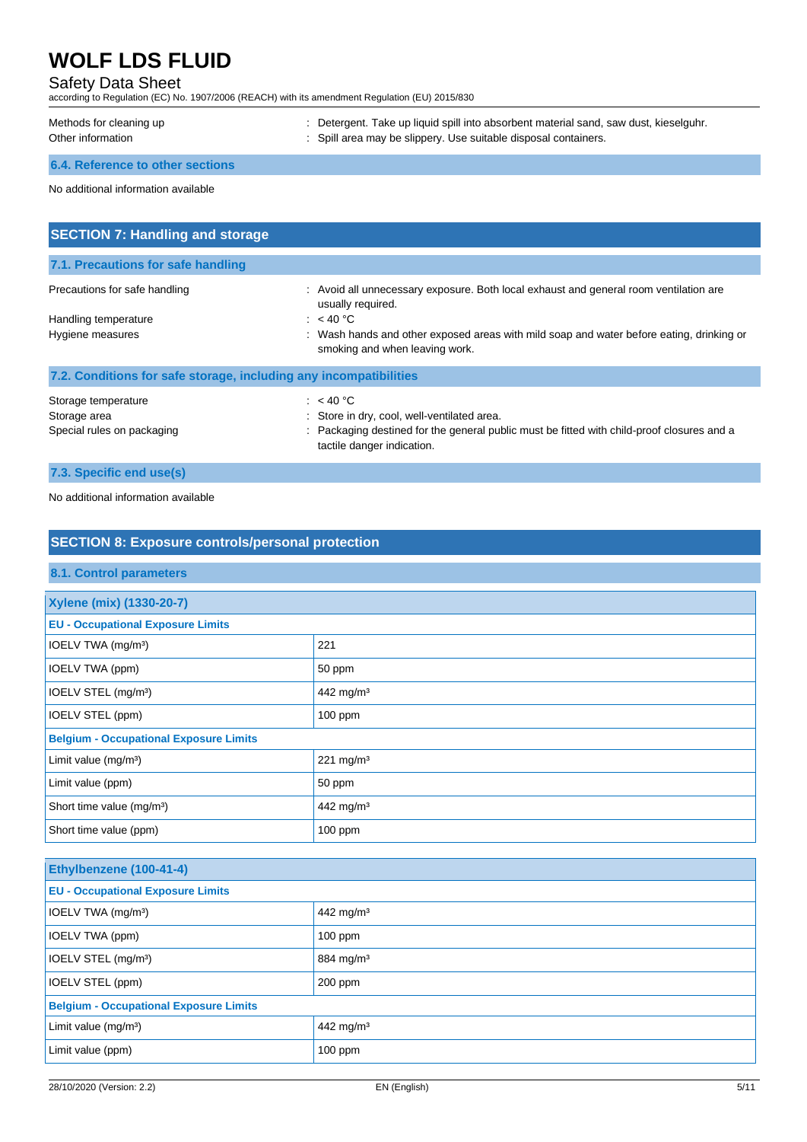## Safety Data Sheet

according to Regulation (EC) No. 1907/2006 (REACH) with its amendment Regulation (EU) 2015/830

| Methods for cleaning up          | Detergent. Take up liquid spill into absorbent material sand, saw dust, kieselguhr. |
|----------------------------------|-------------------------------------------------------------------------------------|
| Other information                | : Spill area may be slippery. Use suitable disposal containers.                     |
| 6.4. Reference to other sections |                                                                                     |

No additional information available

| <b>SECTION 7: Handling and storage</b>                            |                                                                                                                                                                                    |
|-------------------------------------------------------------------|------------------------------------------------------------------------------------------------------------------------------------------------------------------------------------|
| 7.1. Precautions for safe handling                                |                                                                                                                                                                                    |
| Precautions for safe handling                                     | : Avoid all unnecessary exposure. Both local exhaust and general room ventilation are<br>usually required.                                                                         |
| Handling temperature<br>Hygiene measures                          | : $<$ 40 °C<br>: Wash hands and other exposed areas with mild soap and water before eating, drinking or<br>smoking and when leaving work.                                          |
| 7.2. Conditions for safe storage, including any incompatibilities |                                                                                                                                                                                    |
| Storage temperature<br>Storage area<br>Special rules on packaging | : $<$ 40 °C<br>Store in dry, cool, well-ventilated area.<br>Packaging destined for the general public must be fitted with child-proof closures and a<br>tactile danger indication. |

## **7.3. Specific end use(s)**

No additional information available

| <b>SECTION 8: Exposure controls/personal protection</b> |                       |  |
|---------------------------------------------------------|-----------------------|--|
| <b>8.1. Control parameters</b>                          |                       |  |
| Xylene (mix) (1330-20-7)                                |                       |  |
| <b>EU - Occupational Exposure Limits</b>                |                       |  |
| IOELV TWA (mg/m <sup>3</sup> )                          | 221                   |  |
| IOELV TWA (ppm)                                         | 50 ppm                |  |
| IOELV STEL (mg/m <sup>3</sup> )                         | 442 mg/m <sup>3</sup> |  |
| IOELV STEL (ppm)                                        | $100$ ppm             |  |
| <b>Belgium - Occupational Exposure Limits</b>           |                       |  |
| Limit value (mg/m <sup>3</sup> )                        | 221 mg/m $3$          |  |
| Limit value (ppm)                                       | 50 ppm                |  |
| Short time value (mg/m <sup>3</sup> )                   | 442 mg/m <sup>3</sup> |  |
| Short time value (ppm)                                  | $100$ ppm             |  |
|                                                         |                       |  |

| Ethylbenzene (100-41-4)                       |                       |  |
|-----------------------------------------------|-----------------------|--|
| <b>EU - Occupational Exposure Limits</b>      |                       |  |
| IOELV TWA (mg/m <sup>3</sup> )                | 442 mg/m <sup>3</sup> |  |
| IOELV TWA (ppm)                               | $100$ ppm             |  |
| IOELV STEL (mg/m <sup>3</sup> )               | 884 mg/m <sup>3</sup> |  |
| IOELV STEL (ppm)                              | $200$ ppm             |  |
| <b>Belgium - Occupational Exposure Limits</b> |                       |  |
| Limit value $(mg/m3)$                         | 442 mg/m <sup>3</sup> |  |
| Limit value (ppm)                             | $100$ ppm             |  |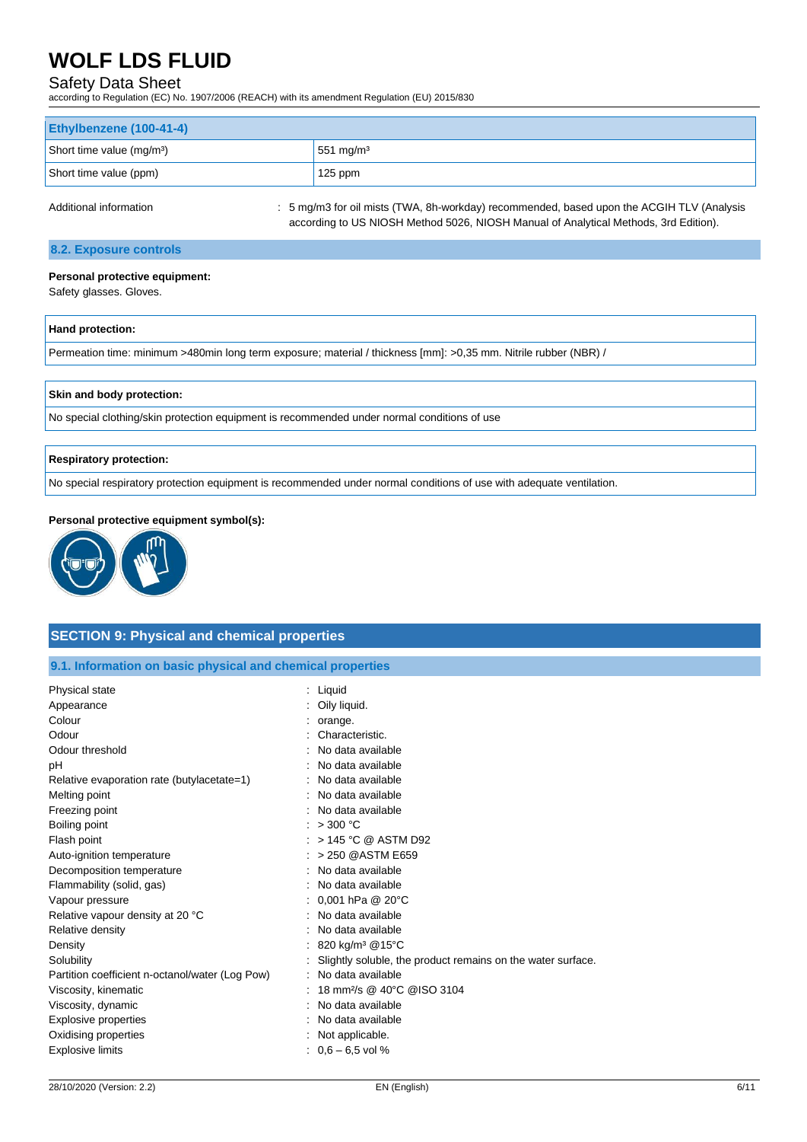## Safety Data Sheet

according to Regulation (EC) No. 1907/2006 (REACH) with its amendment Regulation (EU) 2015/830

| Ethylbenzene (100-41-4)               |                       |
|---------------------------------------|-----------------------|
| Short time value (mg/m <sup>3</sup> ) | 551 mg/m <sup>3</sup> |
| Short time value (ppm)                | 125 ppm               |
|                                       |                       |

Additional information : 5 mg/m3 for oil mists (TWA, 8h-workday) recommended, based upon the ACGIH TLV (Analysis according to US NIOSH Method 5026, NIOSH Manual of Analytical Methods, 3rd Edition).

### **8.2. Exposure controls**

#### **Personal protective equipment:**

Safety glasses. Gloves.

| Hand protection:                                                                                                 |  |
|------------------------------------------------------------------------------------------------------------------|--|
| Permeation time: minimum >480min long term exposure; material / thickness [mm]: >0,35 mm. Nitrile rubber (NBR) / |  |

#### **Skin and body protection:**

No special clothing/skin protection equipment is recommended under normal conditions of use

#### **Respiratory protection:**

No special respiratory protection equipment is recommended under normal conditions of use with adequate ventilation.

#### **Personal protective equipment symbol(s):**



### **SECTION 9: Physical and chemical properties**

|  |  |  | 9.1. Information on basic physical and chemical properties |  |
|--|--|--|------------------------------------------------------------|--|
|--|--|--|------------------------------------------------------------|--|

| Oily liquid.<br>Appearance<br>Colour<br>: orange.<br>Odour<br>Characteristic.<br>Odour threshold<br>No data available<br>No data available<br>рH<br>No data available<br>Relative evaporation rate (butylacetate=1)<br>No data available<br>Melting point<br>No data available<br>Freezing point |  |
|--------------------------------------------------------------------------------------------------------------------------------------------------------------------------------------------------------------------------------------------------------------------------------------------------|--|
|                                                                                                                                                                                                                                                                                                  |  |
|                                                                                                                                                                                                                                                                                                  |  |
|                                                                                                                                                                                                                                                                                                  |  |
|                                                                                                                                                                                                                                                                                                  |  |
|                                                                                                                                                                                                                                                                                                  |  |
|                                                                                                                                                                                                                                                                                                  |  |
|                                                                                                                                                                                                                                                                                                  |  |
|                                                                                                                                                                                                                                                                                                  |  |
| Boiling point<br>: $>300$ °C                                                                                                                                                                                                                                                                     |  |
| : $>$ 145 °C @ ASTM D92<br>Flash point                                                                                                                                                                                                                                                           |  |
| > 250 @ASTM E659<br>Auto-ignition temperature                                                                                                                                                                                                                                                    |  |
| No data available<br>Decomposition temperature                                                                                                                                                                                                                                                   |  |
| Flammability (solid, gas)<br>No data available                                                                                                                                                                                                                                                   |  |
| : 0,001 hPa @ 20°C<br>Vapour pressure                                                                                                                                                                                                                                                            |  |
| Relative vapour density at 20 °C<br>No data available                                                                                                                                                                                                                                            |  |
| No data available<br>Relative density                                                                                                                                                                                                                                                            |  |
| : 820 kg/m <sup>3</sup> @15°C<br>Density                                                                                                                                                                                                                                                         |  |
| Solubility<br>Slightly soluble, the product remains on the water surface.                                                                                                                                                                                                                        |  |
| Partition coefficient n-octanol/water (Log Pow)<br>No data available                                                                                                                                                                                                                             |  |
| 18 mm <sup>2</sup> /s @ 40°C @ISO 3104<br>Viscosity, kinematic                                                                                                                                                                                                                                   |  |
| Viscosity, dynamic<br>No data available                                                                                                                                                                                                                                                          |  |
| <b>Explosive properties</b><br>No data available                                                                                                                                                                                                                                                 |  |
| Oxidising properties<br>Not applicable.                                                                                                                                                                                                                                                          |  |
| $: 0.6 - 6.5$ vol %<br><b>Explosive limits</b>                                                                                                                                                                                                                                                   |  |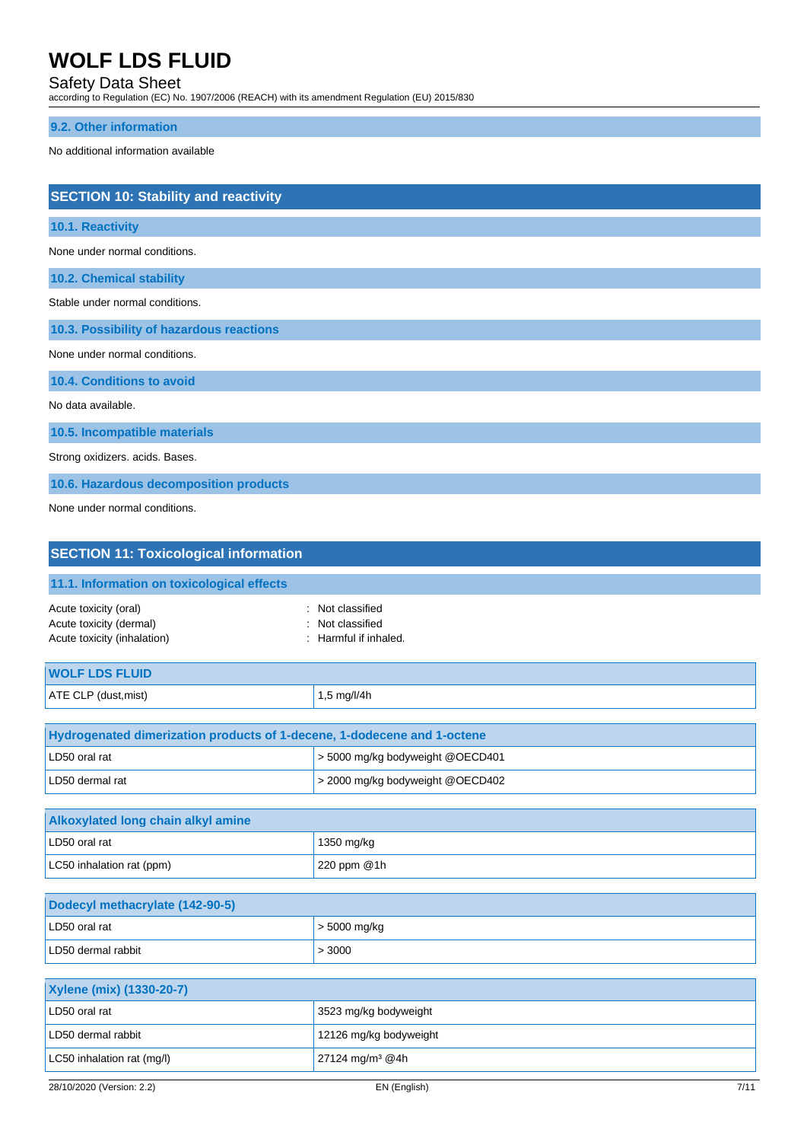## Safety Data Sheet

according to Regulation (EC) No. 1907/2006 (REACH) with its amendment Regulation (EU) 2015/830

### **9.2. Other information**

No additional information available

| <b>SECTION 10: Stability and reactivity</b> |
|---------------------------------------------|
| 10.1. Reactivity                            |
| None under normal conditions.               |
| <b>10.2. Chemical stability</b>             |
| Stable under normal conditions.             |
| 10.3. Possibility of hazardous reactions    |
| None under normal conditions.               |
| 10.4. Conditions to avoid                   |
| No data available.                          |
| 10.5. Incompatible materials                |
| Strong oxidizers. acids. Bases.             |
| 10.6. Hazardous decomposition products      |
| None under normal conditions.               |

| <b>SECTION 11: Toxicological information</b>                                                   |                                                         |
|------------------------------------------------------------------------------------------------|---------------------------------------------------------|
| 11.1. Information on toxicological effects                                                     |                                                         |
| Acute toxicity (oral)<br>÷<br>Acute toxicity (dermal)<br>٠<br>Acute toxicity (inhalation)<br>÷ | Not classified<br>Not classified<br>Harmful if inhaled. |
| <b>WOLF LDS FLUID</b>                                                                          |                                                         |
| ATE CLP (dust, mist)                                                                           | 1,5 mg/l/4h                                             |
|                                                                                                |                                                         |
| Hydrogenated dimerization products of 1-decene, 1-dodecene and 1-octene                        |                                                         |
| LD50 oral rat                                                                                  | > 5000 mg/kg bodyweight @OECD401                        |
| LD50 dermal rat                                                                                | > 2000 mg/kg bodyweight @OECD402                        |
|                                                                                                |                                                         |
| <b>Alkoxylated long chain alkyl amine</b>                                                      |                                                         |
| LD50 oral rat                                                                                  | 1350 mg/kg                                              |
| LC50 inhalation rat (ppm)                                                                      | 220 ppm @1h                                             |
|                                                                                                |                                                         |
| Dodecyl methacrylate (142-90-5)                                                                |                                                         |

| Dodecyl methacrylate (142-90-5) |                |
|---------------------------------|----------------|
| LD50 oral rat                   | $>$ 5000 mg/kg |
| LD50 dermal rabbit              | > 3000         |

| <b>Xylene (mix) (1330-20-7)</b> |                               |
|---------------------------------|-------------------------------|
| LD50 oral rat                   | 3523 mg/kg bodyweight         |
| LD50 dermal rabbit              | 12126 mg/kg bodyweight        |
| LC50 inhalation rat (mg/l)      | $27124$ mg/m <sup>3</sup> @4h |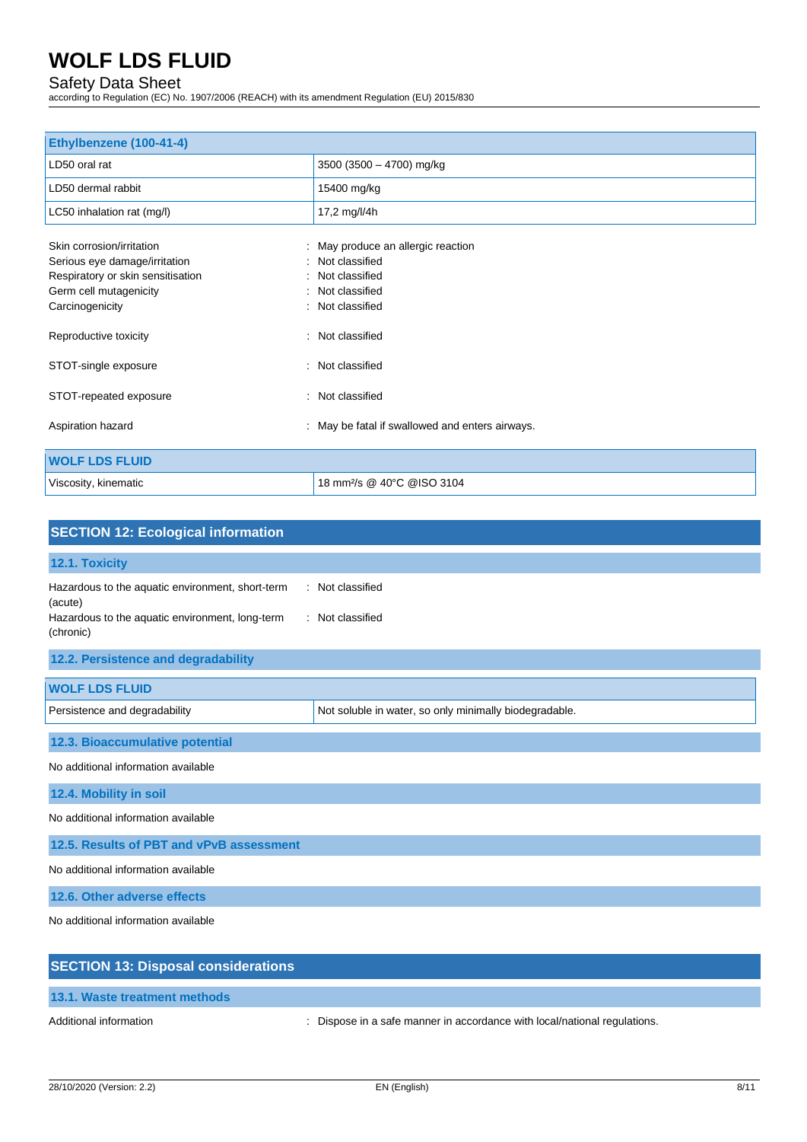### Safety Data Sheet

according to Regulation (EC) No. 1907/2006 (REACH) with its amendment Regulation (EU) 2015/830

| Ethylbenzene (100-41-4)           |                                                 |
|-----------------------------------|-------------------------------------------------|
| LD50 oral rat                     | 3500 (3500 - 4700) mg/kg                        |
| LD50 dermal rabbit                | 15400 mg/kg                                     |
| LC50 inhalation rat (mg/l)        | 17,2 mg/l/4h                                    |
| Skin corrosion/irritation         | : May produce an allergic reaction              |
| Serious eye damage/irritation     | : Not classified                                |
| Respiratory or skin sensitisation | Not classified                                  |
| Germ cell mutagenicity            | Not classified                                  |
| Carcinogenicity                   | : Not classified                                |
| Reproductive toxicity             | : Not classified                                |
| STOT-single exposure              | : Not classified                                |
| STOT-repeated exposure            | : Not classified                                |
| Aspiration hazard                 | : May be fatal if swallowed and enters airways. |
| <b>WOLF LDS FLUID</b>             |                                                 |
| Viscosity, kinematic              | 18 mm <sup>2</sup> /s @ 40°C @ISO 3104          |

| <b>SECTION 12: Ecological information</b>                                                                                   |                                                        |  |
|-----------------------------------------------------------------------------------------------------------------------------|--------------------------------------------------------|--|
| 12.1. Toxicity                                                                                                              |                                                        |  |
| Hazardous to the aquatic environment, short-term<br>(acute)<br>Hazardous to the aquatic environment, long-term<br>(chronic) | : Not classified<br>: Not classified                   |  |
| 12.2. Persistence and degradability                                                                                         |                                                        |  |
| <b>WOLF LDS FLUID</b>                                                                                                       |                                                        |  |
| Persistence and degradability                                                                                               | Not soluble in water, so only minimally biodegradable. |  |
| 12.3. Bioaccumulative potential                                                                                             |                                                        |  |
| No additional information available                                                                                         |                                                        |  |
| 12.4. Mobility in soil                                                                                                      |                                                        |  |
| No additional information available                                                                                         |                                                        |  |
| 12.5. Results of PBT and vPvB assessment                                                                                    |                                                        |  |
| No additional information available                                                                                         |                                                        |  |
| 12.6. Other adverse effects                                                                                                 |                                                        |  |
| No additional information available                                                                                         |                                                        |  |
| <b>SECTION 13: Disposal considerations</b>                                                                                  |                                                        |  |
| 13.1. Waste treatment methods                                                                                               |                                                        |  |

Additional information **interest in a safe manner in accordance with local/national regulations.**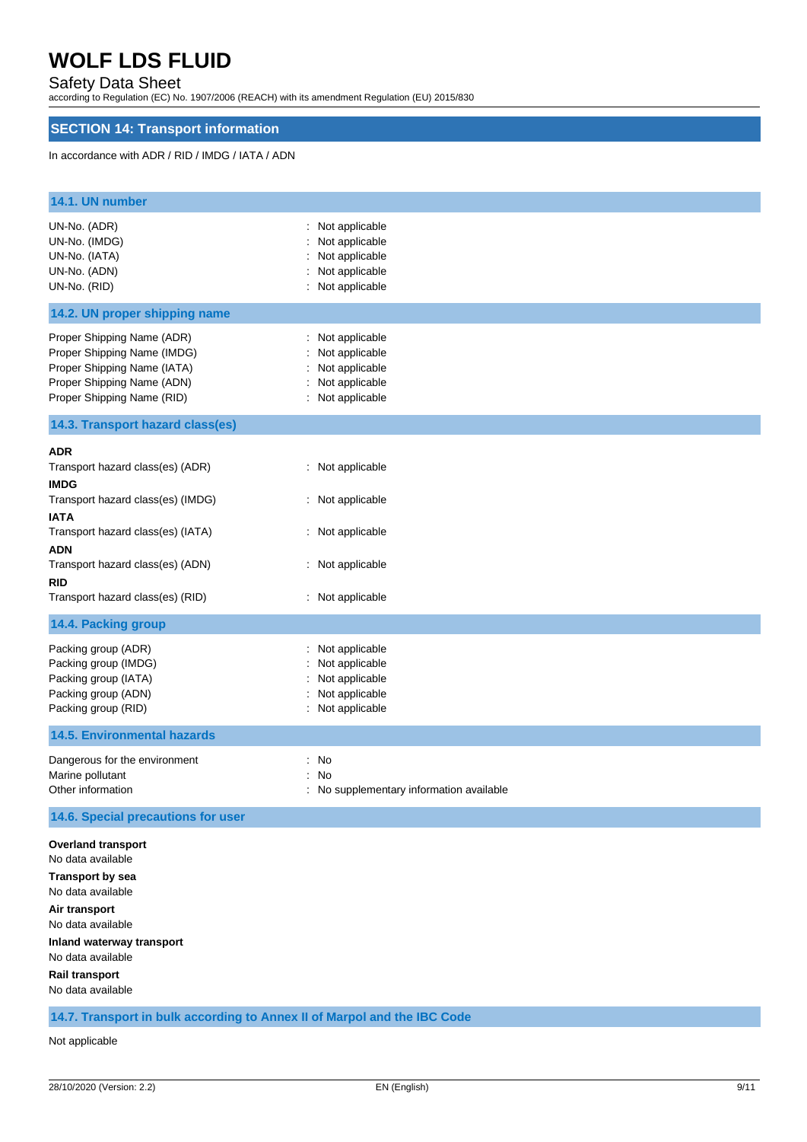## Safety Data Sheet

according to Regulation (EC) No. 1907/2006 (REACH) with its amendment Regulation (EU) 2015/830

## **SECTION 14: Transport information**

In accordance with ADR / RID / IMDG / IATA / ADN

| 14.1. UN number                                                                                                                                      |                                                                                              |
|------------------------------------------------------------------------------------------------------------------------------------------------------|----------------------------------------------------------------------------------------------|
| UN-No. (ADR)<br>UN-No. (IMDG)<br>UN-No. (IATA)<br>UN-No. (ADN)<br>UN-No. (RID)                                                                       | : Not applicable<br>Not applicable<br>: Not applicable<br>Not applicable<br>: Not applicable |
| 14.2. UN proper shipping name                                                                                                                        |                                                                                              |
| Proper Shipping Name (ADR)<br>Proper Shipping Name (IMDG)<br>Proper Shipping Name (IATA)<br>Proper Shipping Name (ADN)<br>Proper Shipping Name (RID) | : Not applicable<br>Not applicable<br>Not applicable<br>: Not applicable<br>: Not applicable |
| 14.3. Transport hazard class(es)                                                                                                                     |                                                                                              |
| ADR<br>Transport hazard class(es) (ADR)<br><b>IMDG</b><br>Transport hazard class(es) (IMDG)<br><b>IATA</b>                                           | : Not applicable<br>: Not applicable                                                         |
| Transport hazard class(es) (IATA)                                                                                                                    | : Not applicable                                                                             |
| ADN<br>Transport hazard class(es) (ADN)<br>rid<br>Transport hazard class(es) (RID)                                                                   | : Not applicable<br>: Not applicable                                                         |
| 14.4. Packing group                                                                                                                                  |                                                                                              |
| Packing group (ADR)<br>Packing group (IMDG)<br>Packing group (IATA)<br>Packing group (ADN)<br>Packing group (RID)                                    | : Not applicable<br>Not applicable<br>Not applicable<br>Not applicable<br>: Not applicable   |
| <b>14.5. Environmental hazards</b>                                                                                                                   |                                                                                              |
| Dangerous for the environment<br>Marine pollutant<br>Other information                                                                               | : No<br>: No<br>: No supplementary information available                                     |
| 14.6. Special precautions for user                                                                                                                   |                                                                                              |
| <b>Overland transport</b><br>No data available                                                                                                       |                                                                                              |
| <b>Transport by sea</b><br>No data available<br>Air transport<br>No data available<br>Inland waterway transport<br>No data available                 |                                                                                              |
| <b>Rail transport</b><br>No data available                                                                                                           |                                                                                              |
| 14.7. Transport in bulk according to Annex II of Marpol and the IBC Code                                                                             |                                                                                              |

Not applicable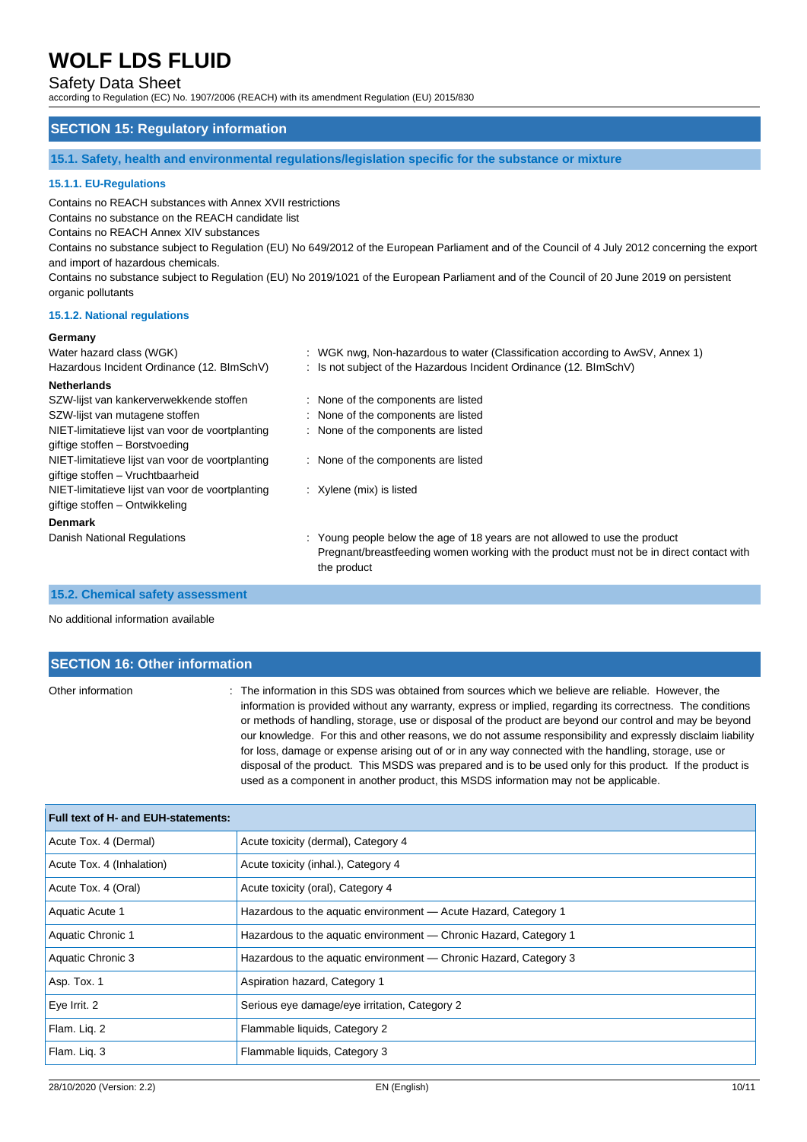## Safety Data Sheet

according to Regulation (EC) No. 1907/2006 (REACH) with its amendment Regulation (EU) 2015/830

## **SECTION 15: Regulatory information**

**15.1. Safety, health and environmental regulations/legislation specific for the substance or mixture**

### **15.1.1. EU-Regulations**

Contains no REACH substances with Annex XVII restrictions

Contains no substance on the REACH candidate list

Contains no REACH Annex XIV substances

Contains no substance subject to Regulation (EU) No 649/2012 of the European Parliament and of the Council of 4 July 2012 concerning the export and import of hazardous chemicals.

Contains no substance subject to Regulation (EU) No 2019/1021 of the European Parliament and of the Council of 20 June 2019 on persistent organic pollutants

#### **15.1.2. National regulations**

#### **Germany**

| <b></b>                                          |                                                                                                                                                                                        |
|--------------------------------------------------|----------------------------------------------------------------------------------------------------------------------------------------------------------------------------------------|
| Water hazard class (WGK)                         | : WGK nwg, Non-hazardous to water (Classification according to AwSV, Annex 1)                                                                                                          |
| Hazardous Incident Ordinance (12. BImSchV)       | : Is not subject of the Hazardous Incident Ordinance (12. BImSchV)                                                                                                                     |
| <b>Netherlands</b>                               |                                                                                                                                                                                        |
| SZW-lijst van kankerverwekkende stoffen          | : None of the components are listed                                                                                                                                                    |
| SZW-lijst van mutagene stoffen                   | : None of the components are listed                                                                                                                                                    |
| NIET-limitatieve lijst van voor de voortplanting | : None of the components are listed                                                                                                                                                    |
| giftige stoffen - Borstvoeding                   |                                                                                                                                                                                        |
| NIET-limitatieve lijst van voor de voortplanting | : None of the components are listed                                                                                                                                                    |
| giftige stoffen - Vruchtbaarheid                 |                                                                                                                                                                                        |
| NIET-limitatieve lijst van voor de voortplanting | : Xylene (mix) is listed                                                                                                                                                               |
| giftige stoffen - Ontwikkeling                   |                                                                                                                                                                                        |
| <b>Denmark</b>                                   |                                                                                                                                                                                        |
| Danish National Regulations                      | : Young people below the age of 18 years are not allowed to use the product<br>Pregnant/breastfeeding women working with the product must not be in direct contact with<br>the product |

#### **15.2. Chemical safety assessment**

No additional information available

## **SECTION 16: Other information** Other information : The information in this SDS was obtained from sources which we believe are reliable. However, the information is provided without any warranty, express or implied, regarding its correctness. The conditions or methods of handling, storage, use or disposal of the product are beyond our control and may be beyond

our knowledge. For this and other reasons, we do not assume responsibility and expressly disclaim liability for loss, damage or expense arising out of or in any way connected with the handling, storage, use or disposal of the product. This MSDS was prepared and is to be used only for this product. If the product is used as a component in another product, this MSDS information may not be applicable.

| Full text of H- and EUH-statements: |                                                                   |  |
|-------------------------------------|-------------------------------------------------------------------|--|
| Acute Tox. 4 (Dermal)               | Acute toxicity (dermal), Category 4                               |  |
| Acute Tox. 4 (Inhalation)           | Acute toxicity (inhal.), Category 4                               |  |
| Acute Tox. 4 (Oral)                 | Acute toxicity (oral), Category 4                                 |  |
| Aquatic Acute 1                     | Hazardous to the aquatic environment - Acute Hazard, Category 1   |  |
| <b>Aquatic Chronic 1</b>            | Hazardous to the aquatic environment — Chronic Hazard, Category 1 |  |
| Aquatic Chronic 3                   | Hazardous to the aquatic environment — Chronic Hazard, Category 3 |  |
| Asp. Tox. 1                         | Aspiration hazard, Category 1                                     |  |
| Eye Irrit. 2                        | Serious eye damage/eye irritation, Category 2                     |  |
| Flam. Lig. 2                        | Flammable liquids, Category 2                                     |  |
| Flam. Lig. 3                        | Flammable liquids, Category 3                                     |  |